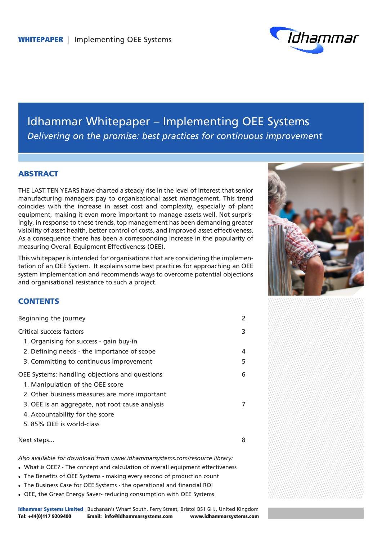

# Idhammar Whitepaper – Implementing OEE Systems *Delivering on the promise: best practices for continuous improvement*

## **ABSTRACT**

THE LAST TEN YEARS have charted a steady rise in the level of interest that senior manufacturing managers pay to organisational asset management. This trend coincides with the increase in asset cost and complexity, especially of plant equipment, making it even more important to manage assets well. Not surprisingly, in response to these trends, top management has been demanding greater visibility of asset health, better control of costs, and improved asset effectiveness. As a consequence there has been a corresponding increase in the popularity of measuring Overall Equipment Effectiveness (OEE).

This whitepaper is intended for organisations that are considering the implementation of an OEE System. It explains some best practices for approaching an OEE system implementation and recommends ways to overcome potential objections and organisational resistance to such a project.



# **CONTENTS**

| Beginning the journey                           |   |
|-------------------------------------------------|---|
| Critical success factors                        | 3 |
| 1. Organising for success - gain buy-in         |   |
| 2. Defining needs - the importance of scope     | 4 |
| 3. Committing to continuous improvement         | 5 |
| OEE Systems: handling objections and questions  | 6 |
| 1. Manipulation of the OEE score                |   |
| 2. Other business measures are more important   |   |
| 3. OEE is an aggregate, not root cause analysis |   |
| 4. Accountability for the score                 |   |
| 5.85% OEE is world-class                        |   |
| Next steps                                      | 8 |

*Also available for download from www.idhammarsystems.com/resource library:*

- What is OEE? The concept and calculation of overall equipment effectiveness
- The Benefits of OEE Systems making every second of production count
- The Business Case for OEE Systems the operational and financial ROI
- OEE, the Great Energy Saver- reducing consumption with OEE Systems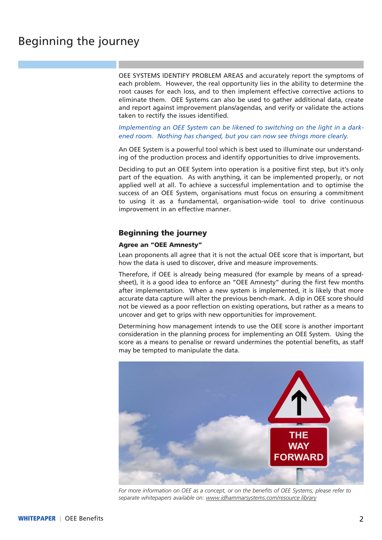OEE SYSTEMS IDENTIFY PROBLEM AREAS and accurately report the symptoms of each problem. However, the real opportunity lies in the ability to determine the root causes for each loss, and to then implement effective corrective actions to eliminate them. OEE Systems can also be used to gather additional data, create and report against improvement plans/agendas, and verify or validate the actions taken to rectify the issues identified.

### *Implementing an OEE System can be likened to switching on the light in a darkened room. Nothing has changed, but you can now see things more clearly.*

An OEE System is a powerful tool which is best used to illuminate our understanding of the production process and identify opportunities to drive improvements.

Deciding to put an OEE System into operation is a positive first step, but it's only part of the equation. As with anything, it can be implemented properly, or not applied well at all. To achieve a successful implementation and to optimise the success of an OEE System, organisations must focus on ensuring a commitment to using it as a fundamental, organisation-wide tool to drive continuous improvement in an effective manner.

## Beginning the journey

### Agree an "OEE Amnesty"

Lean proponents all agree that it is not the actual OEE score that is important, but how the data is used to discover, drive and measure improvements.

Therefore, if OEE is already being measured (for example by means of a spreadsheet), it is a good idea to enforce an "OEE Amnesty" during the first few months after implementation. When a new system is implemented, it is likely that more accurate data capture will alter the previous bench-mark. A dip in OEE score should not be viewed as a poor reflection on existing operations, but rather as a means to uncover and get to grips with new opportunities for improvement.

Determining how management intends to use the OEE score is another important consideration in the planning process for implementing an OEE System. Using the score as a means to penalise or reward undermines the potential benefits, as staff may be tempted to manipulate the data.



*For more information on OEE as a concept, or on the benefits of OEE Systems, please refer to separate whitepapers available on: www.idhammarsystems.com/resource library*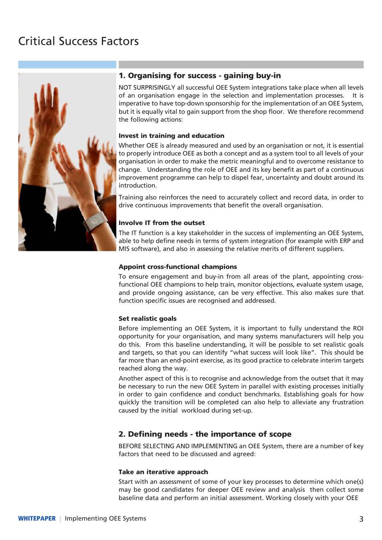# Critical Success Factors



# 1. Organising for success - gaining buy-in

NOT SURPRISINGLY all successful OEE System integrations take place when all levels of an organisation engage in the selection and implementation processes. It is imperative to have top-down sponsorship for the implementation of an OEE System, but it is equally vital to gain support from the shop floor. We therefore recommend the following actions:

## Invest in training and education

Whether OEE is already measured and used by an organisation or not, it is essential to properly introduce OEE as both a concept and as a system tool to all levels of your organisation in order to make the metric meaningful and to overcome resistance to change. Understanding the role of OEE and its key benefit as part of a continuous improvement programme can help to dispel fear, uncertainty and doubt around its introduction.

Training also reinforces the need to accurately collect and record data, in order to drive continuous improvements that benefit the overall organisation.

## Involve IT from the outset

The IT function is a key stakeholder in the success of implementing an OEE System, able to help define needs in terms of system integration (for example with ERP and MIS software), and also in assessing the relative merits of different suppliers.

### Appoint cross-functional champions

To ensure engagement and buy-in from all areas of the plant, appointing crossfunctional OEE champions to help train, monitor objections, evaluate system usage, and provide ongoing assistance, can be very effective. This also makes sure that function specific issues are recognised and addressed.

### Set realistic goals

Before implementing an OEE System, it is important to fully understand the ROI opportunity for your organisation, and many systems manufacturers will help you do this. From this baseline understanding, it will be possible to set realistic goals and targets, so that you can identify "what success will look like". This should be far more than an end-point exercise, as its good practice to celebrate interim targets reached along the way.

Another aspect of this is to recognise and acknowledge from the outset that it may be necessary to run the new OEE System in parallel with existing processes initially in order to gain confidence and conduct benchmarks. Establishing goals for how quickly the transition will be completed can also help to alleviate any frustration caused by the initial workload during set-up.

# 2. Defining needs - the importance of scope

BEFORE SELECTING AND IMPLEMENTING an OEE System, there are a number of key factors that need to be discussed and agreed:

### Take an iterative approach

Start with an assessment of some of your key processes to determine which one(s) may be good candidates for deeper OEE review and analysis then collect some baseline data and perform an initial assessment. Working closely with your OEE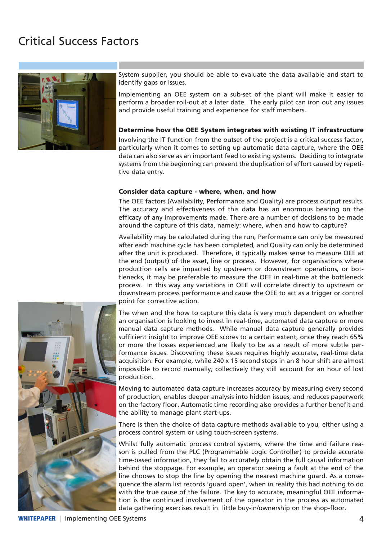# Critical Success Factors



System supplier, you should be able to evaluate the data available and start to identify gaps or issues.

Implementing an OEE system on a sub-set of the plant will make it easier to perform a broader roll-out at a later date. The early pilot can iron out any issues and provide useful training and experience for staff members.

### Determine how the OEE System integrates with existing IT infrastructure

Involving the IT function from the outset of the project is a critical success factor, particularly when it comes to setting up automatic data capture, where the OEE data can also serve as an important feed to existing systems. Deciding to integrate systems from the beginning can prevent the duplication of effort caused by repetitive data entry.

#### Consider data capture - where, when, and how

The OEE factors (Availability, Performance and Quality) are process output results. The accuracy and effectiveness of this data has an enormous bearing on the efficacy of any improvements made. There are a number of decisions to be made around the capture of this data, namely: where, when and how to capture?

Availability may be calculated during the run, Performance can only be measured after each machine cycle has been completed, and Quality can only be determined after the unit is produced. Therefore, it typically makes sense to measure OEE at the end (output) of the asset, line or process. However, for organisations where production cells are impacted by upstream or downstream operations, or bottlenecks, it may be preferable to measure the OEE in real-time at the bottleneck process. In this way any variations in OEE will correlate directly to upstream or downstream process performance and cause the OEE to act as a trigger or control point for corrective action.

The when and the how to capture this data is very much dependent on whether an organisation is looking to invest in real-time, automated data capture or more manual data capture methods. While manual data capture generally provides sufficient insight to improve OEE scores to a certain extent, once they reach 65% or more the losses experienced are likely to be as a result of more subtle performance issues. Discovering these issues requires highly accurate, real-time data acquisition. For example, while 240 x 15 second stops in an 8 hour shift are almost impossible to record manually, collectively they still account for an hour of lost production.

Moving to automated data capture increases accuracy by measuring every second of production, enables deeper analysis into hidden issues, and reduces paperwork on the factory floor. Automatic time recording also provides a further benefit and the ability to manage plant start-ups.

There is then the choice of data capture methods available to you, either using a process control system or using touch-screen systems.

Whilst fully automatic process control systems, where the time and failure reason is pulled from the PLC (Programmable Logic Controller) to provide accurate time-based information, they fail to accurately obtain the full causal information behind the stoppage. For example, an operator seeing a fault at the end of the line chooses to stop the line by opening the nearest machine guard. As a consequence the alarm list records 'guard open', when in reality this had nothing to do with the true cause of the failure. The key to accurate, meaningful OEE information is the continued involvement of the operator in the process as automated data gathering exercises result in little buy-in/ownership on the shop-floor.

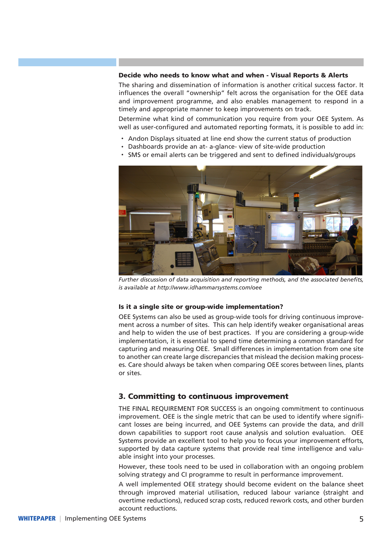### Decide who needs to know what and when - Visual Reports & Alerts

The sharing and dissemination of information is another critical success factor. It influences the overall "ownership" felt across the organisation for the OEE data and improvement programme, and also enables management to respond in a timely and appropriate manner to keep improvements on track.

Determine what kind of communication you require from your OEE System. As well as user-configured and automated reporting formats, it is possible to add in:

- Andon Displays situated at line end show the current status of production
- Dashboards provide an at- a-glance- view of site-wide production
- <sup>l</sup>SMS or email alerts can be triggered and sent to defined individuals/groups



*Further discussion of data acquisition and reporting methods, and the associated benefits, is available at http://www.idhammarsystems.com/oee*

### Is it a single site or group-wide implementation?

OEE Systems can also be used as group-wide tools for driving continuous improvement across a number of sites. This can help identify weaker organisational areas and help to widen the use of best practices. If you are considering a group-wide implementation, it is essential to spend time determining a common standard for capturing and measuring OEE. Small differences in implementation from one site to another can create large discrepancies that mislead the decision making processes. Care should always be taken when comparing OEE scores between lines, plants or sites.

## 3. Committing to continuous improvement

THE FINAL REQUIREMENT FOR SUCCESS is an ongoing commitment to continuous improvement. OEE is the single metric that can be used to identify where significant losses are being incurred, and OEE Systems can provide the data, and drill down capabilities to support root cause analysis and solution evaluation. OEE Systems provide an excellent tool to help you to focus your improvement efforts, supported by data capture systems that provide real time intelligence and valuable insight into your processes.

However, these tools need to be used in collaboration with an ongoing problem solving strategy and CI programme to result in performance improvement.

A well implemented OEE strategy should become evident on the balance sheet through improved material utilisation, reduced labour variance (straight and overtime reductions), reduced scrap costs, reduced rework costs, and other burden account reductions.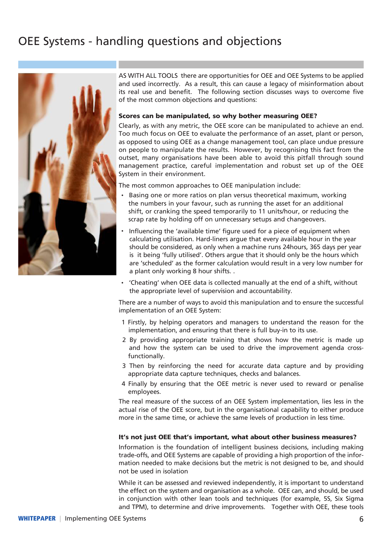# OEE Systems - handling questions and objections



AS WITH ALL TOOLS there are opportunities for OEE and OEE Systems to be applied and used incorrectly. As a result, this can cause a legacy of misinformation about its real use and benefit. The following section discusses ways to overcome five of the most common objections and questions:

### Scores can be manipulated, so why bother measuring OEE?

Clearly, as with any metric, the OEE score can be manipulated to achieve an end. Too much focus on OEE to evaluate the performance of an asset, plant or person, as opposed to using OEE as a change management tool, can place undue pressure on people to manipulate the results. However, by recognising this fact from the outset, many organisations have been able to avoid this pitfall through sound management practice, careful implementation and robust set up of the OEE System in their environment.

The most common approaches to OEE manipulation include:

- Basing one or more ratios on plan versus theoretical maximum, working the numbers in your favour, such as running the asset for an additional shift, or cranking the speed temporarily to 11 units/hour, or reducing the scrap rate by holding off on unnecessary setups and changeovers.
- Influencing the 'available time' figure used for a piece of equipment when calculating utilisation. Hard-liners argue that every available hour in the year should be considered, as only when a machine runs 24hours, 365 days per year is it being 'fully utilised'. Others argue that it should only be the hours which are 'scheduled' as the former calculation would result in a very low number for a plant only working 8 hour shifts. .
- 'Cheating' when OEE data is collected manually at the end of a shift, without the appropriate level of supervision and accountability.

There are a number of ways to avoid this manipulation and to ensure the successful implementation of an OEE System:

- 1 Firstly, by helping operators and managers to understand the reason for the implementation, and ensuring that there is full buy-in to its use.
- 2 By providing appropriate training that shows how the metric is made up and how the system can be used to drive the improvement agenda cross functionally.
- 3 Then by reinforcing the need for accurate data capture and by providing appropriate data capture techniques, checks and balances.
- 4 Finally by ensuring that the OEE metric is never used to reward or penalise employees.

The real measure of the success of an OEE System implementation, lies less in the actual rise of the OEE score, but in the organisational capability to either produce more in the same time, or achieve the same levels of production in less time.

### It's not just OEE that's important, what about other business measures?

Information is the foundation of intelligent business decisions, including making trade-offs, and OEE Systems are capable of providing a high proportion of the information needed to make decisions but the metric is not designed to be, and should not be used in isolation

While it can be assessed and reviewed independently, it is important to understand the effect on the system and organisation as a whole. OEE can, and should, be used in conjunction with other lean tools and techniques (for example, 5S, Six Sigma and TPM), to determine and drive improvements. Together with OEE, these tools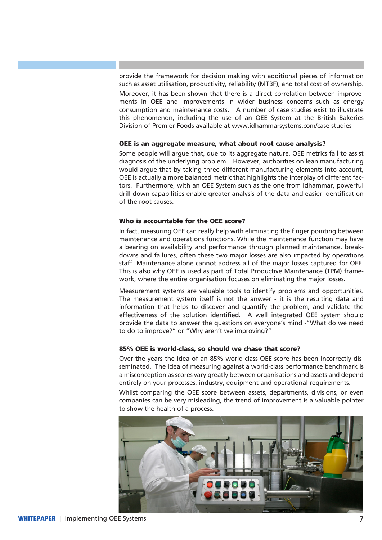provide the framework for decision making with additional pieces of information such as asset utilisation, productivity, reliability (MTBF), and total cost of ownership.

Moreover, it has been shown that there is a direct correlation between improvements in OEE and improvements in wider business concerns such as energy consumption and maintenance costs. A number of case studies exist to illustrate this phenomenon, including the use of an OEE System at the British Bakeries Division of Premier Foods available at www.idhammarsystems.com/case studies

### OEE is an aggregate measure, what about root cause analysis?

Some people will argue that, due to its aggregate nature, OEE metrics fail to assist diagnosis of the underlying problem. However, authorities on lean manufacturing would argue that by taking three different manufacturing elements into account, OEE is actually a more balanced metric that highlights the interplay of different factors. Furthermore, with an OEE System such as the one from Idhammar, powerful drill-down capabilities enable greater analysis of the data and easier identification of the root causes.

### Who is accountable for the OEE score?

In fact, measuring OEE can really help with eliminating the finger pointing between maintenance and operations functions. While the maintenance function may have a bearing on availability and performance through planned maintenance, breakdowns and failures, often these two major losses are also impacted by operations staff. Maintenance alone cannot address all of the major losses captured for OEE. This is also why OEE is used as part of Total Productive Maintenance (TPM) framework, where the entire organisation focuses on eliminating the major losses.

Measurement systems are valuable tools to identify problems and opportunities. The measurement system itself is not the answer - it is the resulting data and information that helps to discover and quantify the problem, and validate the effectiveness of the solution identified. A well integrated OEE system should provide the data to answer the questions on everyone's mind -"What do we need to do to improve?" or "Why aren't we improving?"

### 85% OEE is world-class, so should we chase that score?

Over the years the idea of an 85% world-class OEE score has been incorrectly disseminated. The idea of measuring against a world-class performance benchmark is a misconception as scores vary greatly between organisations and assets and depend entirely on your processes, industry, equipment and operational requirements.

Whilst comparing the OEE score between assets, departments, divisions, or even companies can be very misleading, the trend of improvement is a valuable pointer to show the health of a process.